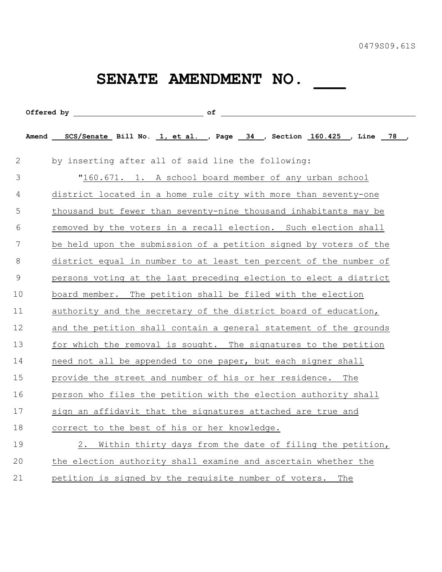## SENATE AMENDMENT NO. \_\_\_

|                | Offered by of                                                           |
|----------------|-------------------------------------------------------------------------|
|                | Amend SCS/Senate Bill No. 1, et al., Page 34, Section 160.425, Line 78, |
| $\mathbf{2}$   | by inserting after all of said line the following:                      |
| $\mathfrak{Z}$ | "160.671. 1. A school board member of any urban school                  |
| 4              | district located in a home rule city with more than seventy-one         |
| 5              | thousand but fewer than seventy-nine thousand inhabitants may be        |
| 6              | removed by the voters in a recall election. Such election shall         |
| 7              | be held upon the submission of a petition signed by voters of the       |
| 8              | district equal in number to at least ten percent of the number of       |
| $\overline{9}$ | persons voting at the last preceding election to elect a district       |
| 10             | board member. The petition shall be filed with the election             |
| 11             | authority and the secretary of the district board of education,         |
| 12             | and the petition shall contain a general statement of the grounds       |
| 13             | for which the removal is sought. The signatures to the petition         |
| 14             | need not all be appended to one paper, but each signer shall            |
| 15             | provide the street and number of his or her residence. The              |
| 16             | person who files the petition with the election authority shall         |
| 17             | sign an affidavit that the signatures attached are true and             |
| 18             | correct to the best of his or her knowledge.                            |
| 19             | Within thirty days from the date of filing the petition,<br>2.          |
| 20             | the election authority shall examine and ascertain whether the          |
| 21             | petition is signed by the requisite number of voters. The               |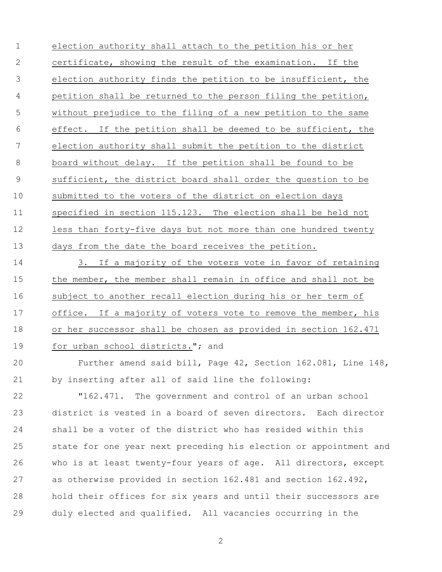election authority shall attach to the petition his or her certificate, showing the result of the examination. If the election authority finds the petition to be insufficient, the petition shall be returned to the person filing the petition, without prejudice to the filing of a new petition to the same effect. If the petition shall be deemed to be sufficient, the election authority shall submit the petition to the district board without delay. If the petition shall be found to be sufficient, the district board shall order the question to be submitted to the voters of the district on election days specified in section 115.123. The election shall be held not less than forty-five days but not more than one hundred twenty 13 days from the date the board receives the petition.

 3. If a majority of the voters vote in favor of retaining the member, the member shall remain in office and shall not be subject to another recall election during his or her term of 17 office. If a majority of voters vote to remove the member, his or her successor shall be chosen as provided in section 162.471 19 for urban school districts."; and

 Further amend said bill, Page 42, Section 162.081, Line 148, by inserting after all of said line the following:

 "162.471. The government and control of an urban school district is vested in a board of seven directors. Each director shall be a voter of the district who has resided within this state for one year next preceding his election or appointment and who is at least twenty-four years of age. All directors, except as otherwise provided in section 162.481 and section 162.492, hold their offices for six years and until their successors are duly elected and qualified. All vacancies occurring in the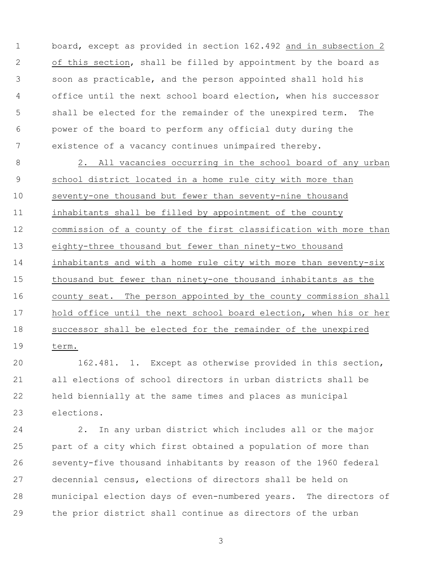board, except as provided in section 162.492 and in subsection 2 of this section, shall be filled by appointment by the board as soon as practicable, and the person appointed shall hold his office until the next school board election, when his successor shall be elected for the remainder of the unexpired term. The power of the board to perform any official duty during the existence of a vacancy continues unimpaired thereby.

8 2. All vacancies occurring in the school board of any urban school district located in a home rule city with more than seventy-one thousand but fewer than seventy-nine thousand inhabitants shall be filled by appointment of the county commission of a county of the first classification with more than eighty-three thousand but fewer than ninety-two thousand inhabitants and with a home rule city with more than seventy-six thousand but fewer than ninety-one thousand inhabitants as the county seat. The person appointed by the county commission shall hold office until the next school board election, when his or her successor shall be elected for the remainder of the unexpired term.

 162.481. 1. Except as otherwise provided in this section, all elections of school directors in urban districts shall be held biennially at the same times and places as municipal elections.

 2. In any urban district which includes all or the major part of a city which first obtained a population of more than seventy-five thousand inhabitants by reason of the 1960 federal decennial census, elections of directors shall be held on municipal election days of even-numbered years. The directors of the prior district shall continue as directors of the urban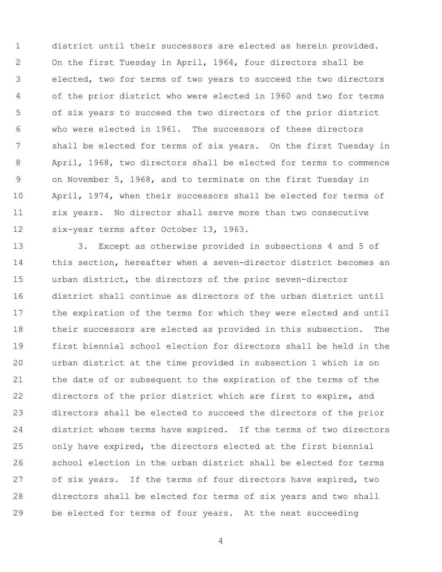district until their successors are elected as herein provided. On the first Tuesday in April, 1964, four directors shall be elected, two for terms of two years to succeed the two directors of the prior district who were elected in 1960 and two for terms of six years to succeed the two directors of the prior district who were elected in 1961. The successors of these directors shall be elected for terms of six years. On the first Tuesday in April, 1968, two directors shall be elected for terms to commence on November 5, 1968, and to terminate on the first Tuesday in April, 1974, when their successors shall be elected for terms of six years. No director shall serve more than two consecutive six-year terms after October 13, 1963.

 3. Except as otherwise provided in subsections 4 and 5 of this section, hereafter when a seven-director district becomes an urban district, the directors of the prior seven-director district shall continue as directors of the urban district until the expiration of the terms for which they were elected and until their successors are elected as provided in this subsection. The first biennial school election for directors shall be held in the urban district at the time provided in subsection 1 which is on the date of or subsequent to the expiration of the terms of the directors of the prior district which are first to expire, and directors shall be elected to succeed the directors of the prior district whose terms have expired. If the terms of two directors only have expired, the directors elected at the first biennial school election in the urban district shall be elected for terms of six years. If the terms of four directors have expired, two directors shall be elected for terms of six years and two shall be elected for terms of four years. At the next succeeding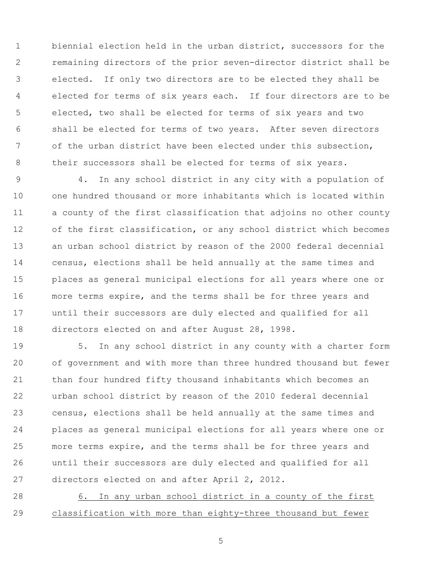biennial election held in the urban district, successors for the remaining directors of the prior seven-director district shall be elected. If only two directors are to be elected they shall be elected for terms of six years each. If four directors are to be elected, two shall be elected for terms of six years and two shall be elected for terms of two years. After seven directors of the urban district have been elected under this subsection, 8 their successors shall be elected for terms of six years.

 4. In any school district in any city with a population of one hundred thousand or more inhabitants which is located within a county of the first classification that adjoins no other county of the first classification, or any school district which becomes an urban school district by reason of the 2000 federal decennial census, elections shall be held annually at the same times and places as general municipal elections for all years where one or more terms expire, and the terms shall be for three years and until their successors are duly elected and qualified for all directors elected on and after August 28, 1998.

 5. In any school district in any county with a charter form of government and with more than three hundred thousand but fewer than four hundred fifty thousand inhabitants which becomes an urban school district by reason of the 2010 federal decennial census, elections shall be held annually at the same times and places as general municipal elections for all years where one or more terms expire, and the terms shall be for three years and until their successors are duly elected and qualified for all directors elected on and after April 2, 2012.

 6. In any urban school district in a county of the first classification with more than eighty-three thousand but fewer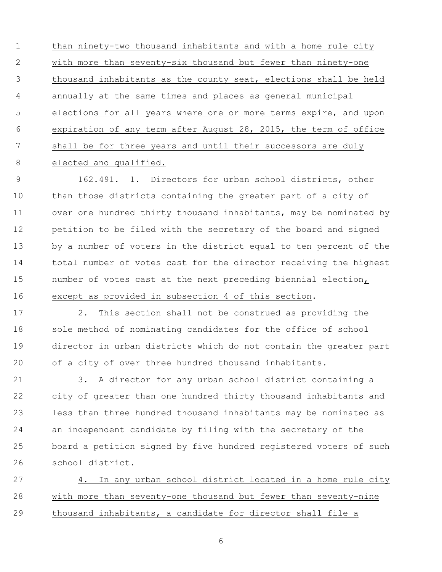than ninety-two thousand inhabitants and with a home rule city with more than seventy-six thousand but fewer than ninety-one thousand inhabitants as the county seat, elections shall be held annually at the same times and places as general municipal elections for all years where one or more terms expire, and upon expiration of any term after August 28, 2015, the term of office shall be for three years and until their successors are duly 8 elected and qualified.

 162.491. 1. Directors for urban school districts, other than those districts containing the greater part of a city of over one hundred thirty thousand inhabitants, may be nominated by petition to be filed with the secretary of the board and signed by a number of voters in the district equal to ten percent of the total number of votes cast for the director receiving the highest number of votes cast at the next preceding biennial election, except as provided in subsection 4 of this section.

 2. This section shall not be construed as providing the sole method of nominating candidates for the office of school director in urban districts which do not contain the greater part of a city of over three hundred thousand inhabitants.

 3. A director for any urban school district containing a city of greater than one hundred thirty thousand inhabitants and less than three hundred thousand inhabitants may be nominated as an independent candidate by filing with the secretary of the board a petition signed by five hundred registered voters of such school district.

 4. In any urban school district located in a home rule city with more than seventy-one thousand but fewer than seventy-nine thousand inhabitants, a candidate for director shall file a